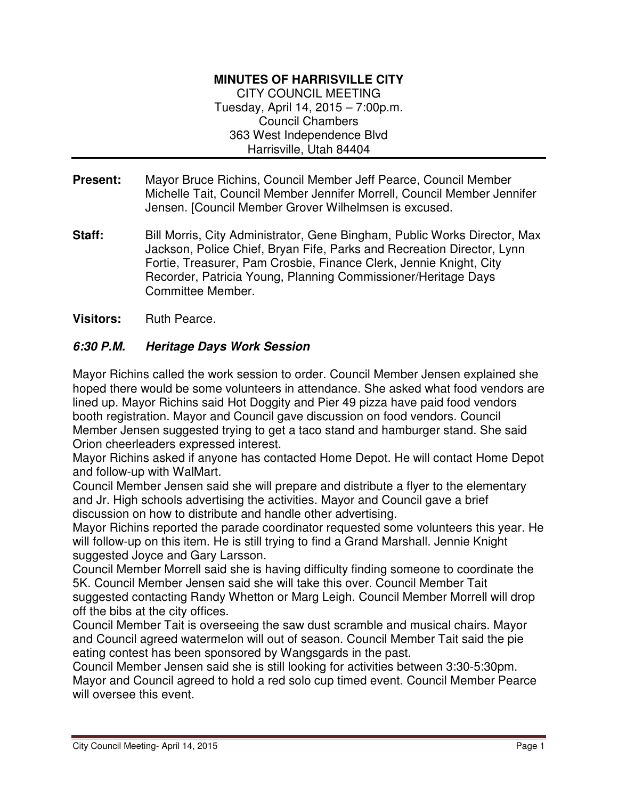## **MINUTES OF HARRISVILLE CITY**

CITY COUNCIL MEETING Tuesday, April 14, 2015 – 7:00p.m. Council Chambers 363 West Independence Blvd Harrisville, Utah 84404

- **Present:** Mayor Bruce Richins, Council Member Jeff Pearce, Council Member Michelle Tait, Council Member Jennifer Morrell, Council Member Jennifer Jensen. [Council Member Grover Wilhelmsen is excused.
- **Staff:** Bill Morris, City Administrator, Gene Bingham, Public Works Director, Max Jackson, Police Chief, Bryan Fife, Parks and Recreation Director, Lynn Fortie, Treasurer, Pam Crosbie, Finance Clerk, Jennie Knight, City Recorder, Patricia Young, Planning Commissioner/Heritage Days Committee Member.
- **Visitors:** Ruth Pearce.

## **6:30 P.M. Heritage Days Work Session**

Mayor Richins called the work session to order. Council Member Jensen explained she hoped there would be some volunteers in attendance. She asked what food vendors are lined up. Mayor Richins said Hot Doggity and Pier 49 pizza have paid food vendors booth registration. Mayor and Council gave discussion on food vendors. Council Member Jensen suggested trying to get a taco stand and hamburger stand. She said Orion cheerleaders expressed interest.

Mayor Richins asked if anyone has contacted Home Depot. He will contact Home Depot and follow-up with WalMart.

Council Member Jensen said she will prepare and distribute a flyer to the elementary and Jr. High schools advertising the activities. Mayor and Council gave a brief discussion on how to distribute and handle other advertising.

Mayor Richins reported the parade coordinator requested some volunteers this year. He will follow-up on this item. He is still trying to find a Grand Marshall. Jennie Knight suggested Joyce and Gary Larsson.

Council Member Morrell said she is having difficulty finding someone to coordinate the 5K. Council Member Jensen said she will take this over. Council Member Tait suggested contacting Randy Whetton or Marg Leigh. Council Member Morrell will drop off the bibs at the city offices.

Council Member Tait is overseeing the saw dust scramble and musical chairs. Mayor and Council agreed watermelon will out of season. Council Member Tait said the pie eating contest has been sponsored by Wangsgards in the past.

Council Member Jensen said she is still looking for activities between 3:30-5:30pm. Mayor and Council agreed to hold a red solo cup timed event. Council Member Pearce will oversee this event.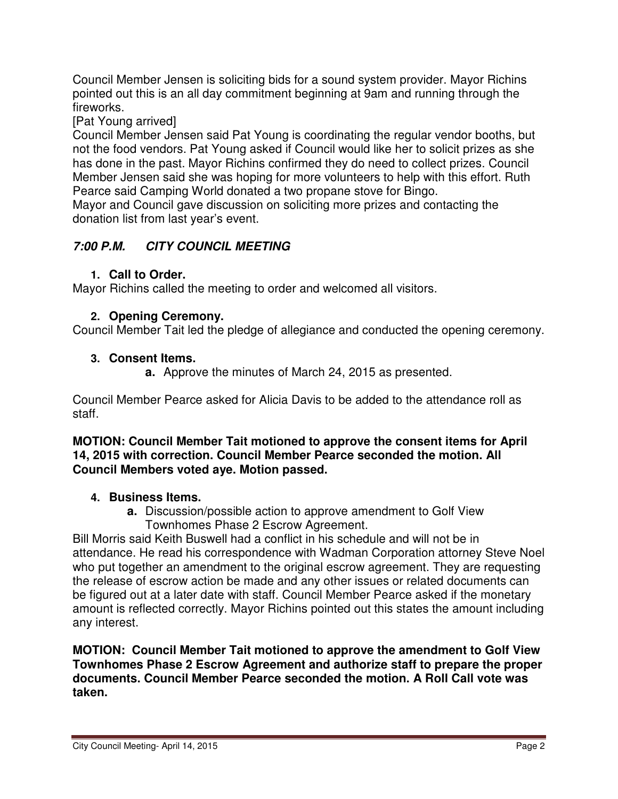Council Member Jensen is soliciting bids for a sound system provider. Mayor Richins pointed out this is an all day commitment beginning at 9am and running through the fireworks.

[Pat Young arrived]

Council Member Jensen said Pat Young is coordinating the regular vendor booths, but not the food vendors. Pat Young asked if Council would like her to solicit prizes as she has done in the past. Mayor Richins confirmed they do need to collect prizes. Council Member Jensen said she was hoping for more volunteers to help with this effort. Ruth Pearce said Camping World donated a two propane stove for Bingo.

Mayor and Council gave discussion on soliciting more prizes and contacting the donation list from last year's event.

# **7:00 P.M. CITY COUNCIL MEETING**

# **1. Call to Order.**

Mayor Richins called the meeting to order and welcomed all visitors.

## **2. Opening Ceremony.**

Council Member Tait led the pledge of allegiance and conducted the opening ceremony.

## **3. Consent Items.**

**a.** Approve the minutes of March 24, 2015 as presented.

Council Member Pearce asked for Alicia Davis to be added to the attendance roll as staff.

#### **MOTION: Council Member Tait motioned to approve the consent items for April 14, 2015 with correction. Council Member Pearce seconded the motion. All Council Members voted aye. Motion passed.**

## **4. Business Items.**

**a.** Discussion/possible action to approve amendment to Golf View Townhomes Phase 2 Escrow Agreement.

Bill Morris said Keith Buswell had a conflict in his schedule and will not be in attendance. He read his correspondence with Wadman Corporation attorney Steve Noel who put together an amendment to the original escrow agreement. They are requesting the release of escrow action be made and any other issues or related documents can be figured out at a later date with staff. Council Member Pearce asked if the monetary amount is reflected correctly. Mayor Richins pointed out this states the amount including any interest.

**MOTION: Council Member Tait motioned to approve the amendment to Golf View Townhomes Phase 2 Escrow Agreement and authorize staff to prepare the proper documents. Council Member Pearce seconded the motion. A Roll Call vote was taken.**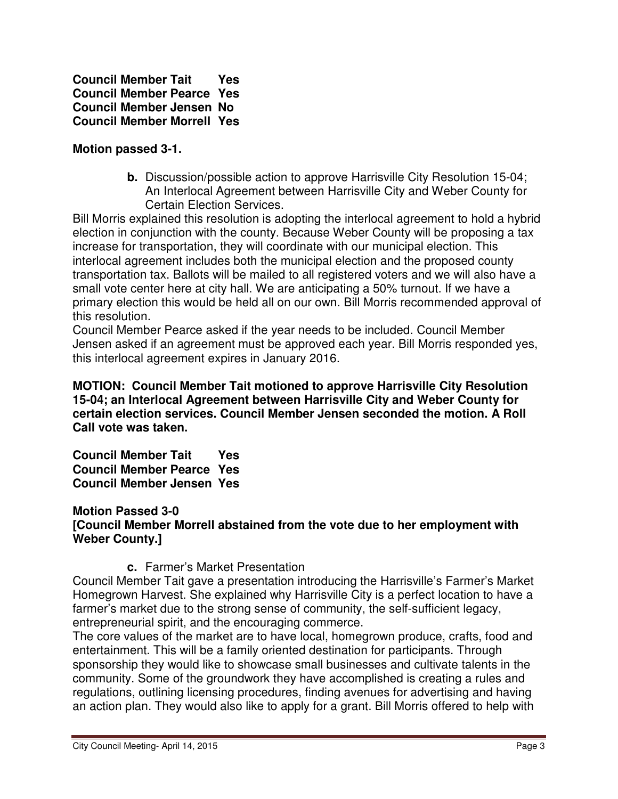**Council Member Tait Yes Council Member Pearce Yes Council Member Jensen No Council Member Morrell Yes** 

#### **Motion passed 3-1.**

**b.** Discussion/possible action to approve Harrisville City Resolution 15-04; An Interlocal Agreement between Harrisville City and Weber County for Certain Election Services.

Bill Morris explained this resolution is adopting the interlocal agreement to hold a hybrid election in conjunction with the county. Because Weber County will be proposing a tax increase for transportation, they will coordinate with our municipal election. This interlocal agreement includes both the municipal election and the proposed county transportation tax. Ballots will be mailed to all registered voters and we will also have a small vote center here at city hall. We are anticipating a 50% turnout. If we have a primary election this would be held all on our own. Bill Morris recommended approval of this resolution.

Council Member Pearce asked if the year needs to be included. Council Member Jensen asked if an agreement must be approved each year. Bill Morris responded yes, this interlocal agreement expires in January 2016.

**MOTION: Council Member Tait motioned to approve Harrisville City Resolution 15-04; an Interlocal Agreement between Harrisville City and Weber County for certain election services. Council Member Jensen seconded the motion. A Roll Call vote was taken.** 

**Council Member Tait Yes Council Member Pearce Yes Council Member Jensen Yes** 

#### **Motion Passed 3-0 [Council Member Morrell abstained from the vote due to her employment with Weber County.]**

#### **c.** Farmer's Market Presentation

Council Member Tait gave a presentation introducing the Harrisville's Farmer's Market Homegrown Harvest. She explained why Harrisville City is a perfect location to have a farmer's market due to the strong sense of community, the self-sufficient legacy, entrepreneurial spirit, and the encouraging commerce.

The core values of the market are to have local, homegrown produce, crafts, food and entertainment. This will be a family oriented destination for participants. Through sponsorship they would like to showcase small businesses and cultivate talents in the community. Some of the groundwork they have accomplished is creating a rules and regulations, outlining licensing procedures, finding avenues for advertising and having an action plan. They would also like to apply for a grant. Bill Morris offered to help with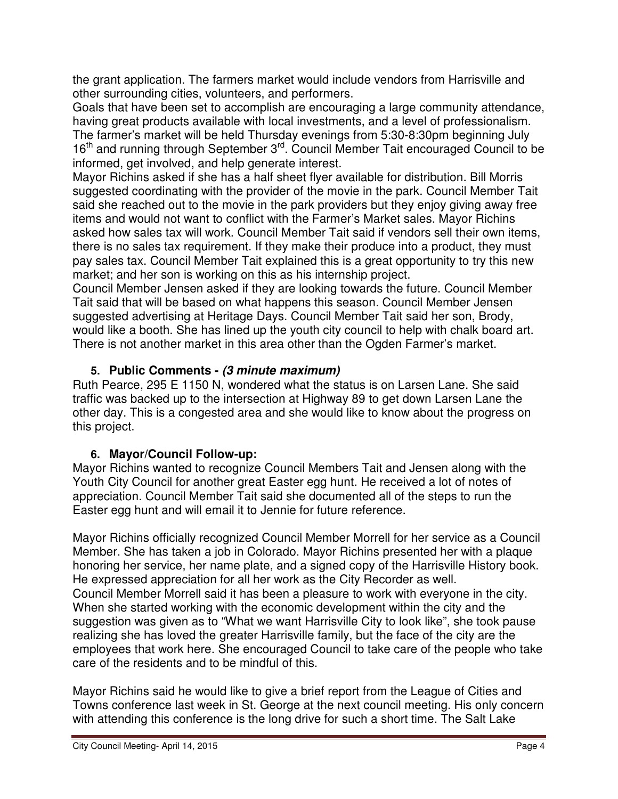the grant application. The farmers market would include vendors from Harrisville and other surrounding cities, volunteers, and performers.

Goals that have been set to accomplish are encouraging a large community attendance, having great products available with local investments, and a level of professionalism. The farmer's market will be held Thursday evenings from 5:30-8:30pm beginning July 16<sup>th</sup> and running through September 3<sup>rd</sup>. Council Member Tait encouraged Council to be informed, get involved, and help generate interest.

Mayor Richins asked if she has a half sheet flyer available for distribution. Bill Morris suggested coordinating with the provider of the movie in the park. Council Member Tait said she reached out to the movie in the park providers but they enjoy giving away free items and would not want to conflict with the Farmer's Market sales. Mayor Richins asked how sales tax will work. Council Member Tait said if vendors sell their own items, there is no sales tax requirement. If they make their produce into a product, they must pay sales tax. Council Member Tait explained this is a great opportunity to try this new market; and her son is working on this as his internship project.

Council Member Jensen asked if they are looking towards the future. Council Member Tait said that will be based on what happens this season. Council Member Jensen suggested advertising at Heritage Days. Council Member Tait said her son, Brody, would like a booth. She has lined up the youth city council to help with chalk board art. There is not another market in this area other than the Ogden Farmer's market.

# **5. Public Comments - (3 minute maximum)**

Ruth Pearce, 295 E 1150 N, wondered what the status is on Larsen Lane. She said traffic was backed up to the intersection at Highway 89 to get down Larsen Lane the other day. This is a congested area and she would like to know about the progress on this project.

# **6. Mayor/Council Follow-up:**

Mayor Richins wanted to recognize Council Members Tait and Jensen along with the Youth City Council for another great Easter egg hunt. He received a lot of notes of appreciation. Council Member Tait said she documented all of the steps to run the Easter egg hunt and will email it to Jennie for future reference.

Mayor Richins officially recognized Council Member Morrell for her service as a Council Member. She has taken a job in Colorado. Mayor Richins presented her with a plaque honoring her service, her name plate, and a signed copy of the Harrisville History book. He expressed appreciation for all her work as the City Recorder as well. Council Member Morrell said it has been a pleasure to work with everyone in the city. When she started working with the economic development within the city and the suggestion was given as to "What we want Harrisville City to look like", she took pause realizing she has loved the greater Harrisville family, but the face of the city are the employees that work here. She encouraged Council to take care of the people who take care of the residents and to be mindful of this.

Mayor Richins said he would like to give a brief report from the League of Cities and Towns conference last week in St. George at the next council meeting. His only concern with attending this conference is the long drive for such a short time. The Salt Lake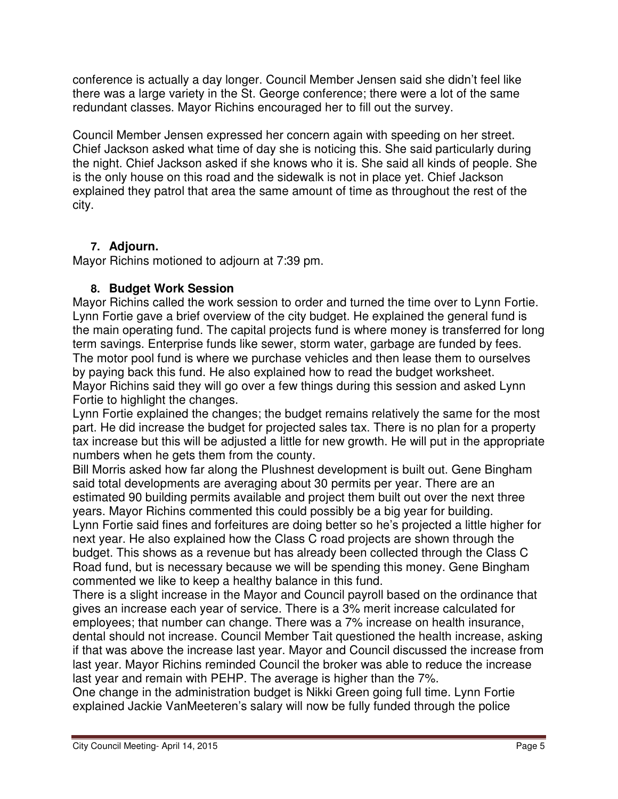conference is actually a day longer. Council Member Jensen said she didn't feel like there was a large variety in the St. George conference; there were a lot of the same redundant classes. Mayor Richins encouraged her to fill out the survey.

Council Member Jensen expressed her concern again with speeding on her street. Chief Jackson asked what time of day she is noticing this. She said particularly during the night. Chief Jackson asked if she knows who it is. She said all kinds of people. She is the only house on this road and the sidewalk is not in place yet. Chief Jackson explained they patrol that area the same amount of time as throughout the rest of the city.

# **7. Adjourn.**

Mayor Richins motioned to adjourn at 7:39 pm.

## **8. Budget Work Session**

Mayor Richins called the work session to order and turned the time over to Lynn Fortie. Lynn Fortie gave a brief overview of the city budget. He explained the general fund is the main operating fund. The capital projects fund is where money is transferred for long term savings. Enterprise funds like sewer, storm water, garbage are funded by fees. The motor pool fund is where we purchase vehicles and then lease them to ourselves by paying back this fund. He also explained how to read the budget worksheet. Mayor Richins said they will go over a few things during this session and asked Lynn Fortie to highlight the changes.

Lynn Fortie explained the changes; the budget remains relatively the same for the most part. He did increase the budget for projected sales tax. There is no plan for a property tax increase but this will be adjusted a little for new growth. He will put in the appropriate numbers when he gets them from the county.

Bill Morris asked how far along the Plushnest development is built out. Gene Bingham said total developments are averaging about 30 permits per year. There are an estimated 90 building permits available and project them built out over the next three years. Mayor Richins commented this could possibly be a big year for building.

Lynn Fortie said fines and forfeitures are doing better so he's projected a little higher for next year. He also explained how the Class C road projects are shown through the budget. This shows as a revenue but has already been collected through the Class C Road fund, but is necessary because we will be spending this money. Gene Bingham commented we like to keep a healthy balance in this fund.

There is a slight increase in the Mayor and Council payroll based on the ordinance that gives an increase each year of service. There is a 3% merit increase calculated for employees; that number can change. There was a 7% increase on health insurance, dental should not increase. Council Member Tait questioned the health increase, asking if that was above the increase last year. Mayor and Council discussed the increase from last year. Mayor Richins reminded Council the broker was able to reduce the increase last year and remain with PEHP. The average is higher than the 7%.

One change in the administration budget is Nikki Green going full time. Lynn Fortie explained Jackie VanMeeteren's salary will now be fully funded through the police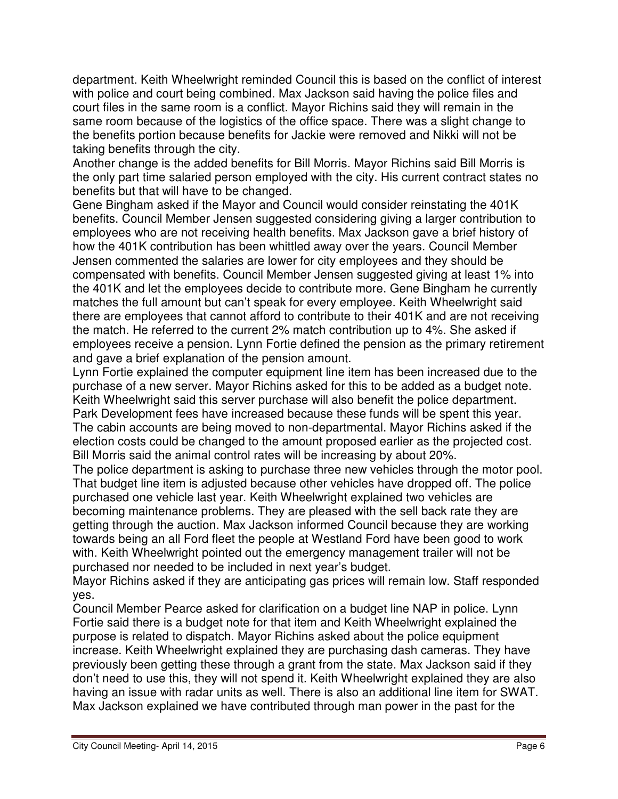department. Keith Wheelwright reminded Council this is based on the conflict of interest with police and court being combined. Max Jackson said having the police files and court files in the same room is a conflict. Mayor Richins said they will remain in the same room because of the logistics of the office space. There was a slight change to the benefits portion because benefits for Jackie were removed and Nikki will not be taking benefits through the city.

Another change is the added benefits for Bill Morris. Mayor Richins said Bill Morris is the only part time salaried person employed with the city. His current contract states no benefits but that will have to be changed.

Gene Bingham asked if the Mayor and Council would consider reinstating the 401K benefits. Council Member Jensen suggested considering giving a larger contribution to employees who are not receiving health benefits. Max Jackson gave a brief history of how the 401K contribution has been whittled away over the years. Council Member Jensen commented the salaries are lower for city employees and they should be compensated with benefits. Council Member Jensen suggested giving at least 1% into the 401K and let the employees decide to contribute more. Gene Bingham he currently matches the full amount but can't speak for every employee. Keith Wheelwright said there are employees that cannot afford to contribute to their 401K and are not receiving the match. He referred to the current 2% match contribution up to 4%. She asked if employees receive a pension. Lynn Fortie defined the pension as the primary retirement and gave a brief explanation of the pension amount.

Lynn Fortie explained the computer equipment line item has been increased due to the purchase of a new server. Mayor Richins asked for this to be added as a budget note. Keith Wheelwright said this server purchase will also benefit the police department. Park Development fees have increased because these funds will be spent this year. The cabin accounts are being moved to non-departmental. Mayor Richins asked if the election costs could be changed to the amount proposed earlier as the projected cost. Bill Morris said the animal control rates will be increasing by about 20%.

The police department is asking to purchase three new vehicles through the motor pool. That budget line item is adjusted because other vehicles have dropped off. The police purchased one vehicle last year. Keith Wheelwright explained two vehicles are becoming maintenance problems. They are pleased with the sell back rate they are getting through the auction. Max Jackson informed Council because they are working towards being an all Ford fleet the people at Westland Ford have been good to work with. Keith Wheelwright pointed out the emergency management trailer will not be purchased nor needed to be included in next year's budget.

Mayor Richins asked if they are anticipating gas prices will remain low. Staff responded yes.

Council Member Pearce asked for clarification on a budget line NAP in police. Lynn Fortie said there is a budget note for that item and Keith Wheelwright explained the purpose is related to dispatch. Mayor Richins asked about the police equipment increase. Keith Wheelwright explained they are purchasing dash cameras. They have previously been getting these through a grant from the state. Max Jackson said if they don't need to use this, they will not spend it. Keith Wheelwright explained they are also having an issue with radar units as well. There is also an additional line item for SWAT. Max Jackson explained we have contributed through man power in the past for the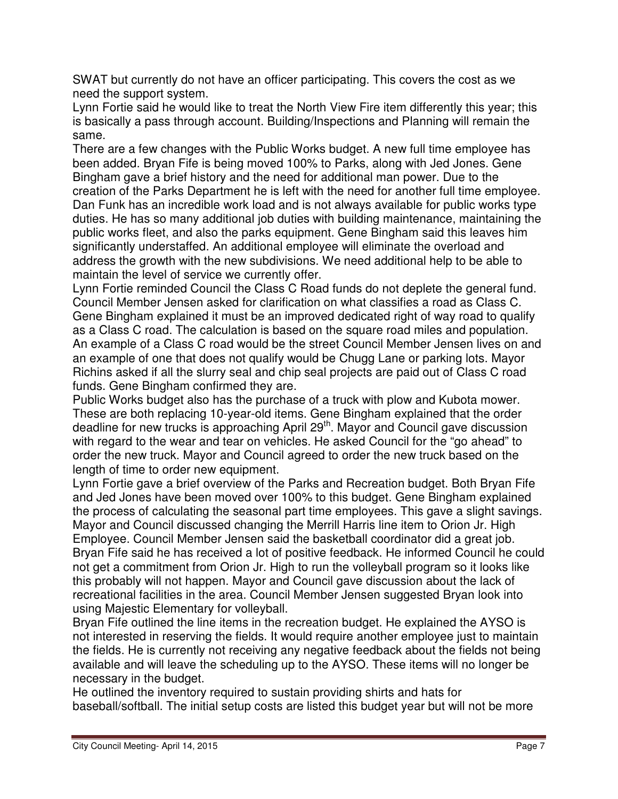SWAT but currently do not have an officer participating. This covers the cost as we need the support system.

Lynn Fortie said he would like to treat the North View Fire item differently this year; this is basically a pass through account. Building/Inspections and Planning will remain the same.

There are a few changes with the Public Works budget. A new full time employee has been added. Bryan Fife is being moved 100% to Parks, along with Jed Jones. Gene Bingham gave a brief history and the need for additional man power. Due to the creation of the Parks Department he is left with the need for another full time employee. Dan Funk has an incredible work load and is not always available for public works type duties. He has so many additional job duties with building maintenance, maintaining the public works fleet, and also the parks equipment. Gene Bingham said this leaves him significantly understaffed. An additional employee will eliminate the overload and address the growth with the new subdivisions. We need additional help to be able to maintain the level of service we currently offer.

Lynn Fortie reminded Council the Class C Road funds do not deplete the general fund. Council Member Jensen asked for clarification on what classifies a road as Class C. Gene Bingham explained it must be an improved dedicated right of way road to qualify as a Class C road. The calculation is based on the square road miles and population. An example of a Class C road would be the street Council Member Jensen lives on and an example of one that does not qualify would be Chugg Lane or parking lots. Mayor Richins asked if all the slurry seal and chip seal projects are paid out of Class C road funds. Gene Bingham confirmed they are.

Public Works budget also has the purchase of a truck with plow and Kubota mower. These are both replacing 10-year-old items. Gene Bingham explained that the order deadline for new trucks is approaching April 29<sup>th</sup>. Mayor and Council gave discussion with regard to the wear and tear on vehicles. He asked Council for the "go ahead" to order the new truck. Mayor and Council agreed to order the new truck based on the length of time to order new equipment.

Lynn Fortie gave a brief overview of the Parks and Recreation budget. Both Bryan Fife and Jed Jones have been moved over 100% to this budget. Gene Bingham explained the process of calculating the seasonal part time employees. This gave a slight savings. Mayor and Council discussed changing the Merrill Harris line item to Orion Jr. High Employee. Council Member Jensen said the basketball coordinator did a great job. Bryan Fife said he has received a lot of positive feedback. He informed Council he could not get a commitment from Orion Jr. High to run the volleyball program so it looks like this probably will not happen. Mayor and Council gave discussion about the lack of recreational facilities in the area. Council Member Jensen suggested Bryan look into using Majestic Elementary for volleyball.

Bryan Fife outlined the line items in the recreation budget. He explained the AYSO is not interested in reserving the fields. It would require another employee just to maintain the fields. He is currently not receiving any negative feedback about the fields not being available and will leave the scheduling up to the AYSO. These items will no longer be necessary in the budget.

He outlined the inventory required to sustain providing shirts and hats for baseball/softball. The initial setup costs are listed this budget year but will not be more